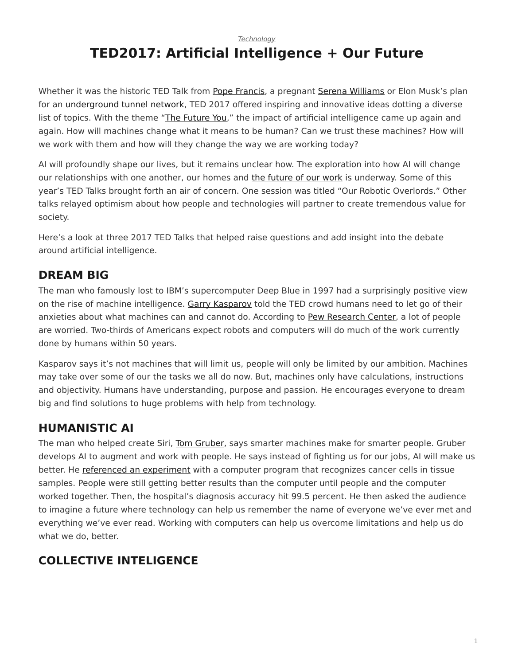*[Technology](https://www.steelcase.com/research/topics/technology/)*

# <span id="page-0-0"></span>**TED2017: Artificial Intelligence + Our Future**

Whether it was the historic TED Talk from [Pope Francis](https://www.ted.com/talks/pope_francis_why_the_only_future_worth_building_includes_everyone), a pregnant [Serena Williams](https://www.ted.com/talks/serena_williams_gayle_king_on_tennis_love_and_motherhood) or Elon Musk's plan for an [underground tunnel network,](http://blog.ted.com/what-will-the-future-look-like-elon-musk-speaks-at-ted2017/) TED 2017 offered inspiring and innovative ideas dotting a diverse list of topics. With the theme "[The Future You](https://ted2017.ted.com/)," the impact of artificial intelligence came up again and again. How will machines change what it means to be human? Can we trust these machines? How will we work with them and how will they change the way we are working today?

AI will profoundly shape our lives, but it remains unclear how. The exploration into how AI will change our relationships with one another, our homes and [the future of our work](https://www.steelcase.com/blog/listen-designing-future-work-technology-part-1/) is underway. Some of this year's TED Talks brought forth an air of concern. One session was titled "Our Robotic Overlords." Other talks relayed optimism about how people and technologies will partner to create tremendous value for society.

Here's a look at three 2017 TED Talks that helped raise questions and add insight into the debate around artificial intelligence.

#### **DREAM BIG**

The man who famously lost to IBM's supercomputer Deep Blue in 1997 had a surprisingly positive view on the rise of machine intelligence. [Garry Kasparov](http://blog.ted.com/humans-must-face-our-fears-garry-kasparov-speaks-at-ted2017/) told the TED crowd humans need to let go of their anxieties about what machines can and cannot do. According to [Pew Research Center,](http://www.pewinternet.org/2016/03/10/public-predictions-for-the-future-of-workforce-automation/) a lot of people are worried. Two-thirds of Americans expect robots and computers will do much of the work currently done by humans within 50 years.

Kasparov says it's not machines that will limit us, people will only be limited by our ambition. Machines may take over some of our the tasks we all do now. But, machines only have calculations, instructions and objectivity. Humans have understanding, purpose and passion. He encourages everyone to dream big and find solutions to huge problems with help from technology.

## **HUMANISTIC AI**

The man who helped create Siri, [Tom Gruber](http://blog.ted.com/our-robotic-overlords-the-talks-of-session-2-of-ted2017/), says smarter machines make for smarter people. Gruber develops AI to augment and work with people. He says instead of fighting us for our jobs, AI will make us better. He [referenced an experiment](http://vancouversun.com/news/local-news/ted-talks-tackle-topic-of-how-to-deal-with-robotic-overlords-of-future) with a computer program that recognizes cancer cells in tissue samples. People were still getting better results than the computer until people and the computer worked together. Then, the hospital's diagnosis accuracy hit 99.5 percent. He then asked the audience to imagine a future where technology can help us remember the name of everyone we've ever met and everything we've ever read. Working with computers can help us overcome limitations and help us do what we do, better.

## **COLLECTIVE INTELIGENCE**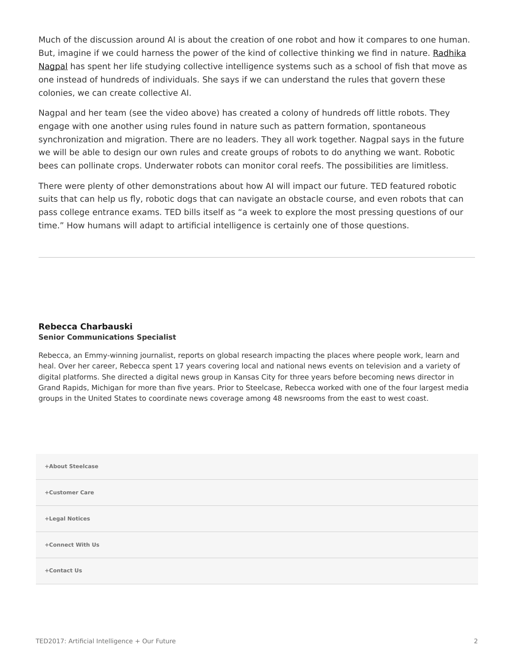Much of the discussion around AI is about the creation of one robot and how it compares to one human. But, imagine if we could harness the power of the kind of collective thinking we find in nature. [Radhika](http://blog.ted.com/harnessing-the-intelligence-of-the-collective-radhika-nagpal-speaks-at-ted2017/) [Nagpal](http://blog.ted.com/harnessing-the-intelligence-of-the-collective-radhika-nagpal-speaks-at-ted2017/) has spent her life studying collective intelligence systems such as a school of fish that move as one instead of hundreds of individuals. She says if we can understand the rules that govern these colonies, we can create collective AI.

Nagpal and her team (see the video above) has created a colony of hundreds off little robots. They engage with one another using rules found in nature such as pattern formation, spontaneous synchronization and migration. There are no leaders. They all work together. Nagpal says in the future we will be able to design our own rules and create groups of robots to do anything we want. Robotic bees can pollinate crops. Underwater robots can monitor coral reefs. The possibilities are limitless.

There were plenty of other demonstrations about how AI will impact our future. TED featured robotic suits that can help us fly, robotic dogs that can navigate an obstacle course, and even robots that can pass college entrance exams. TED bills itself as "a week to explore the most pressing questions of our time." How humans will adapt to artificial intelligence is certainly one of those questions.

#### **[Rebecca Charbauski](https://www.steelcase.com/research/articles/author/rcharbausteelcase-com/) Senior Communications Specialist**

Rebecca, an Emmy-winning journalist, reports on global research impacting the places where people work, learn and heal. Over her career, Rebecca spent 17 years covering local and national news events on television and a variety of digital platforms. She directed a digital news group in Kansas City for three years before becoming news director in Grand Rapids, Michigan for more than five years. Prior to Steelcase, Rebecca worked with one of the four largest media groups in the United States to coordinate news coverage among 48 newsrooms from the east to west coast.

| +About Steelcase |  |
|------------------|--|
| +Customer Care   |  |
| +Legal Notices   |  |
| +Connect With Us |  |
| +Contact Us      |  |